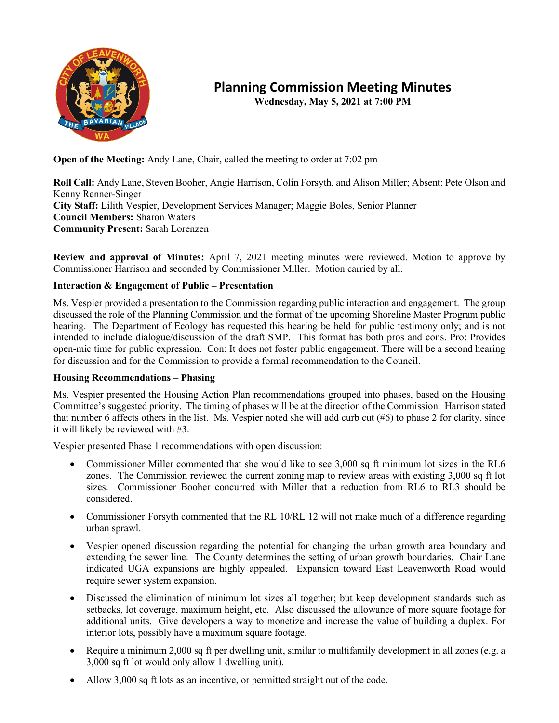

## **Planning Commission Meeting Minutes**

**Wednesday, May 5, 2021 at 7:00 PM**

**Open of the Meeting:** Andy Lane, Chair, called the meeting to order at 7:02 pm

**Roll Call:** Andy Lane, Steven Booher, Angie Harrison, Colin Forsyth, and Alison Miller; Absent: Pete Olson and Kenny Renner-Singer **City Staff:** Lilith Vespier, Development Services Manager; Maggie Boles, Senior Planner **Council Members:** Sharon Waters **Community Present:** Sarah Lorenzen

**Review and approval of Minutes:** April 7, 2021 meeting minutes were reviewed. Motion to approve by Commissioner Harrison and seconded by Commissioner Miller. Motion carried by all.

## **Interaction & Engagement of Public – Presentation**

Ms. Vespier provided a presentation to the Commission regarding public interaction and engagement. The group discussed the role of the Planning Commission and the format of the upcoming Shoreline Master Program public hearing. The Department of Ecology has requested this hearing be held for public testimony only; and is not intended to include dialogue/discussion of the draft SMP. This format has both pros and cons. Pro: Provides open-mic time for public expression. Con: It does not foster public engagement. There will be a second hearing for discussion and for the Commission to provide a formal recommendation to the Council.

## **Housing Recommendations – Phasing**

Ms. Vespier presented the Housing Action Plan recommendations grouped into phases, based on the Housing Committee's suggested priority. The timing of phases will be at the direction of the Commission. Harrison stated that number 6 affects others in the list. Ms. Vespier noted she will add curb cut (#6) to phase 2 for clarity, since it will likely be reviewed with #3.

Vespier presented Phase 1 recommendations with open discussion:

- Commissioner Miller commented that she would like to see 3,000 sq ft minimum lot sizes in the RL6 zones. The Commission reviewed the current zoning map to review areas with existing 3,000 sq ft lot sizes. Commissioner Booher concurred with Miller that a reduction from RL6 to RL3 should be considered.
- Commissioner Forsyth commented that the RL 10/RL 12 will not make much of a difference regarding urban sprawl.
- Vespier opened discussion regarding the potential for changing the urban growth area boundary and extending the sewer line. The County determines the setting of urban growth boundaries. Chair Lane indicated UGA expansions are highly appealed. Expansion toward East Leavenworth Road would require sewer system expansion.
- Discussed the elimination of minimum lot sizes all together; but keep development standards such as setbacks, lot coverage, maximum height, etc. Also discussed the allowance of more square footage for additional units. Give developers a way to monetize and increase the value of building a duplex. For interior lots, possibly have a maximum square footage.
- Require a minimum 2,000 sq ft per dwelling unit, similar to multifamily development in all zones (e.g. a 3,000 sq ft lot would only allow 1 dwelling unit).
- Allow 3,000 sq ft lots as an incentive, or permitted straight out of the code.